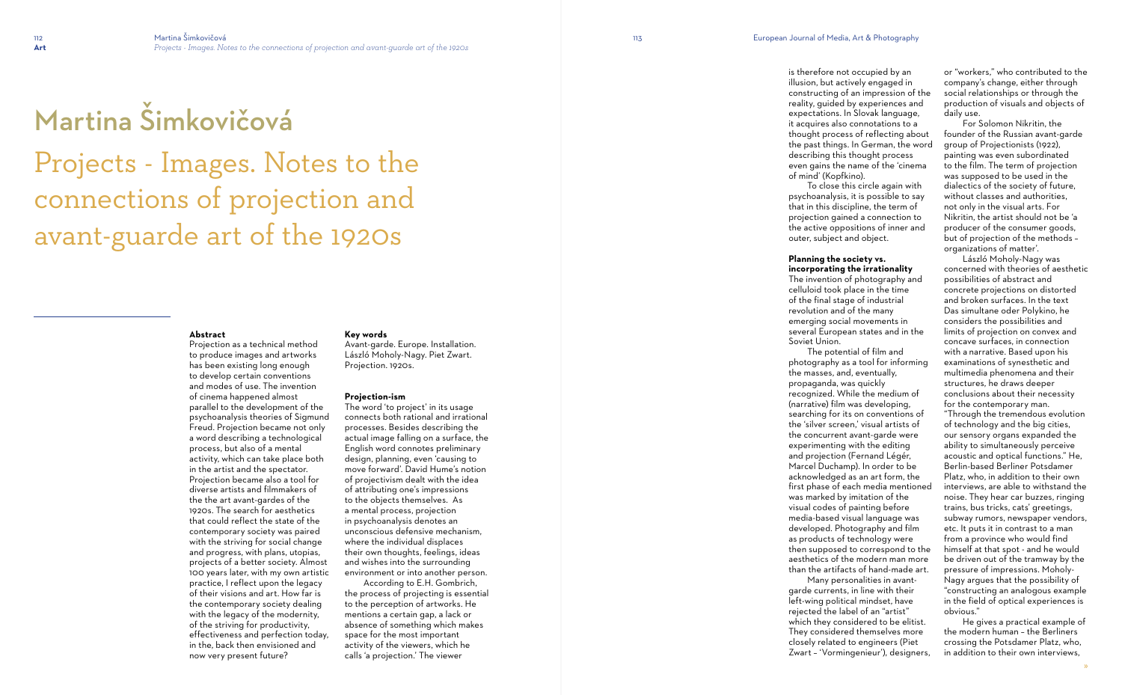Martina Šimkovičová Projects - Images. Notes to the connections of projection and avant-guarde art of the 1920s

## **Abstract**

Projection as a technical method to produce images and artworks has been existing long enough to develop certain conventions and modes of use. The invention of cinema happened almost parallel to the development of the psychoanalysis theories of Sigmund Freud. Projection became not only a word describing a technological process, but also of a mental activity, which can take place both in the artist and the spectator. Projection became also a tool for diverse artists and filmmakers of the the art avant-gardes of the 1920s. The search for aesthetics that could reflect the state of the contemporary society was paired with the striving for social change and progress, with plans, utopias, projects of a better society. Almost 100 years later, with my own artistic practice, I reflect upon the legacy of their visions and art. How far is the contemporary society dealing with the legacy of the modernity, of the striving for productivity, effectiveness and perfection today, in the, back then envisioned and now very present future?

#### **Key words**

Avant-garde. Europe. Installation. László Moholy-Nagy. Piet Zwart. Projection. 1920s.

#### **Projection-ism**

The word 'to project' in its usage connects both rational and irrational processes. Besides describing the actual image falling on a surface, the English word connotes preliminary design, planning, even 'causing to move forward'. David Hume's notion of projectivism dealt with the idea of attributing one's impressions to the objects themselves. As a mental process, projection in psychoanalysis denotes an unconscious defensive mechanism, where the individual displaces their own thoughts, feelings, ideas and wishes into the surrounding environment or into another person.

 According to E.H. Gombrich, the process of projecting is essential to the perception of artworks. He mentions a certain gap, a lack or absence of something which makes space for the most important activity of the viewers, which he calls 'a projection.' The viewer

is therefore not occupied by an illusion, but actively engaged in constructing of an impression of the reality, guided by experiences and expectations. In Slovak language, it acquires also connotations to a thought process of reflecting about the past things. In German, the word describing this thought process even gains the name of the 'cinema

of mind' (Kopfkino).

 To close this circle again with psychoanalysis, it is possible to say that in this discipline, the term of projection gained a connection to the active oppositions of inner and outer, subject and object.

## **Planning the society vs. incorporating the irrationality**

The invention of photography and celluloid took place in the time of the final stage of industrial revolution and of the many emerging social movements in several European states and in the Soviet Union.

 The potential of film and photography as a tool for informing the masses, and, eventually, propaganda, was quickly recognized. While the medium of (narrative) film was developing, searching for its on conventions of the 'silver screen,' visual artists of the concurrent avant-garde were experimenting with the editing and projection (Fernand Légér, Marcel Duchamp). In order to be acknowledged as an art form, the first phase of each media mentioned was marked by imitation of the visual codes of painting before media-based visual language was developed. Photography and film as products of technology were then supposed to correspond to the aesthetics of the modern man more than the artifacts of hand-made art. Many personalities in avantgarde currents, in line with their left-wing political mindset, have rejected the label of an "artist" which they considered to be elitist. They considered themselves more closely related to engineers (Piet Zwart – 'Vormingenieur'), designers,

or "workers," who contributed to the company's change, either through social relationships or through the production of visuals and objects of daily use.

 For Solomon Nikritin, the founder of the Russian avant-garde group of Projectionists (1922), painting was even subordinated to the film. The term of projection was supposed to be used in the dialectics of the society of future, without classes and authorities, not only in the visual arts. For Nikritin, the artist should not be 'a producer of the consumer goods, but of projection of the methods – organizations of matter'.

 László Moholy-Nagy was concerned with theories of aesthetic possibilities of abstract and concrete projections on distorted and broken surfaces. In the text Das simultane oder Polykino, he considers the possibilities and limits of projection on convex and concave surfaces, in connection with a narrative. Based upon his examinations of synesthetic and multimedia phenomena and their structures, he draws deeper conclusions about their necessity for the contemporary man. "Through the tremendous evolution of technology and the big cities, our sensory organs expanded the ability to simultaneously perceive acoustic and optical functions." He, Berlin-based Berliner Potsdamer Platz, who, in addition to their own interviews, are able to withstand the noise. They hear car buzzes, ringing trains, bus tricks, cats' greetings, subway rumors, newspaper vendors, etc. It puts it in contrast to a man from a province who would find himself at that spot - and he would be driven out of the tramway by the pressure of impressions. Moholy-Nagy argues that the possibility of "constructing an analogous example in the field of optical experiences is obvious."

 He gives a practical example of the modern human – the Berliners crossing the Potsdamer Platz, who, in addition to their own interviews,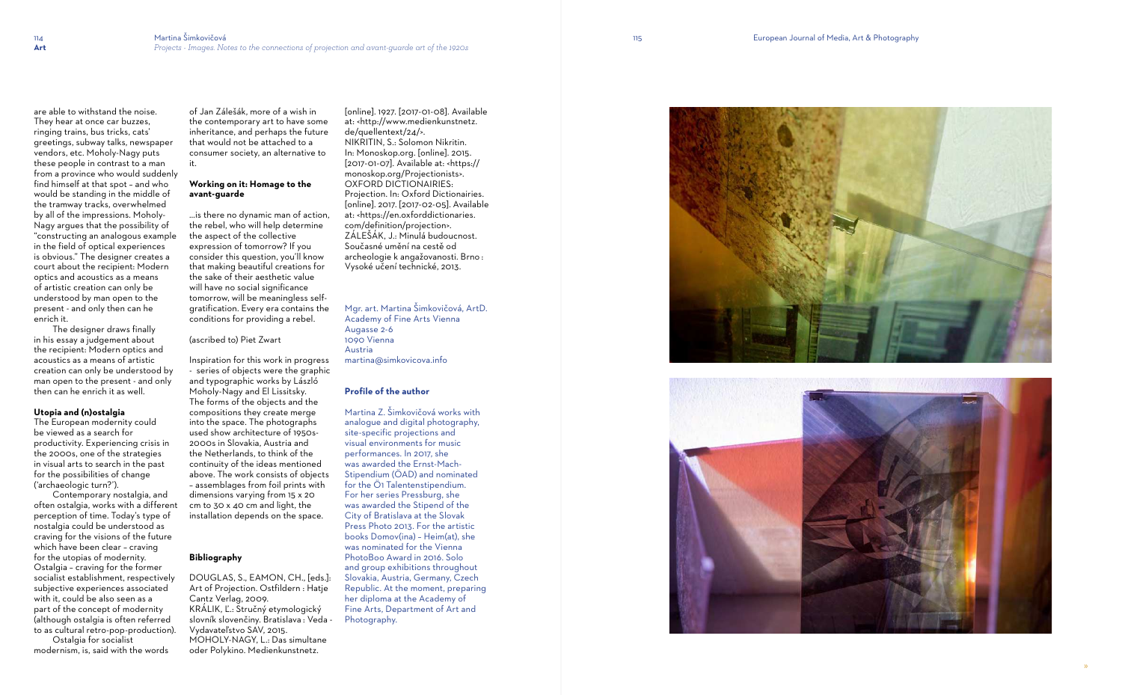are able to withstand the noise. They hear at once car buzzes, ringing trains, bus tricks, cats' greetings, subway talks, newspaper vendors, etc. Moholy-Nagy puts these people in contrast to a man from a province who would suddenly find himself at that spot – and who would be standing in the middle of the tramway tracks, overwhelmed by all of the impressions. Moholy-Nagy argues that the possibility of "constructing an analogous example in the field of optical experiences is obvious." The designer creates a court about the recipient: Modern optics and acoustics as a means of artistic creation can only be understood by man open to the present - and only then can he enrich it.

 The designer draws finally in his essay a judgement about the recipient: Modern optics and acoustics as a means of artistic creation can only be understood by man open to the present - and only then can he enrich it as well.

#### **Utopia and (n)ostalgia**

The European modernity could be viewed as a search for productivity. Experiencing crisis in the 2000s, one of the strategies in visual arts to search in the past for the possibilities of change ('archaeologic turn?').

 Contemporary nostalgia, and often ostalgia, works with a different perception of time. Today's type of nostalgia could be understood as craving for the visions of the future which have been clear – craving for the utopias of modernity. Ostalgia – craving for the former socialist establishment, respectively subjective experiences associated with it, could be also seen as a part of the concept of modernity (although ostalgia is often referred to as cultural retro-pop-production).

 Ostalgia for socialist modernism, is, said with the words

of Jan Zále šák, more of a wish in the contemporary art to have some inheritance, and perhaps the future that would not be attached to a consumer society, an alternative to it.

> Martina Z. Šimkovi čová works with analogue and digital photography, site-specific projections and visual environments for music performances. In 2017, she was awarded the Ernst-Mach-Stipendium (ÖAD) and nominated for the Ö1 Talentenstipendium. For her series Pressburg, she was awarded the Stipend of the City of Bratislava at the Slovak Press Photo 2013. For the artistic books Domov(ina) – Heim(at), she was nominated for the Vienna PhotoBoo Award in 2016. Solo and group exhibitions throughout Slovakia, Austria, Germany, Czech Republic. At the moment, preparing her diploma at the Academy of Fine Arts, Department of Art and Photography.





# **Working on it: Homage to the avant-guarde**

…is there no dynamic man of action, the rebel, who will help determine the aspect of the collective expression of tomorrow? If you consider this question, you'll know that making beautiful creations for the sake of their aesthetic value will have no social significance tomorrow, will be meaningless selfgratification. Every era contains the conditions for providing a rebel.

## (ascribed to) Piet Zwart

Inspiration for this work in progress - series of objects were the graphic and typographic works by László Moholy-Nagy and El Lissitsky. The forms of the objects and the compositions they create merge into the space. The photographs used show architecture of 1950s-2000s in Slovakia, Austria and the Netherlands, to think of the continuity of the ideas mentioned above. The work consists of objects – assemblages from foil prints with dimensions varying from 15 x 20 cm to 30 x 40 cm and light, the installation depends on the space.

#### **Bibliography**

DOUGLAS, S., EAMON, CH., [eds.]: Art of Projection. Ostfildern : Hatje Cantz Verlag, 2009. KRÁLIK, Ľ.: Stru č n ý etymologick ý slovník sloven činy. Bratislava : Veda - Vydavate ľstvo SAV, 2015. MOHOLY-NAGY, L.: Das simultane oder Polykino. Medienkunstnetz.

[online]. 1927. [2017-01-08]. Available at: <http://www.medienkunstnetz. de/quellentext/24/>. NIKRITIN, S.: Solomon Nikritin. In: Monoskop.org. [online]. 2015. [2017-01-07]. Available at: <https:// monoskop.org/Projectionists>. OXFORD DICTIONAIRIES: Projection. In: Oxford Dictionairies. [online]. 2017. [2017-02-05]. Available at: <https://en.oxforddictionaries. com/definition/projection>. ZÁLE ŠÁK, J.: Minulá budoucnost. Sou časné um ění na cest ě od archeologie k anga žovanosti. Brno : Vysoké u čení technické, 2013.

Mgr. art. Martina Šimkovi čová, ArtD. Academy of Fine Arts Vienna Augasse 2-6 1090 Vienna Austria martina@simkovicova.info

#### **Profile of the author**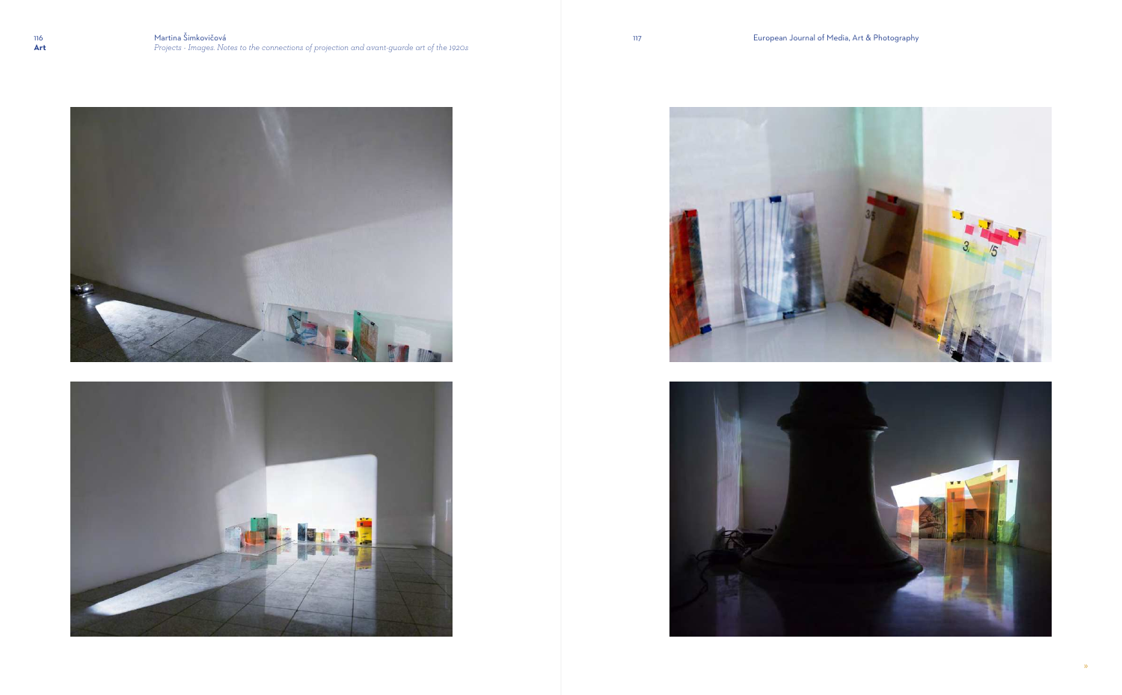







# 117 European Journal of Media, Art & Photography